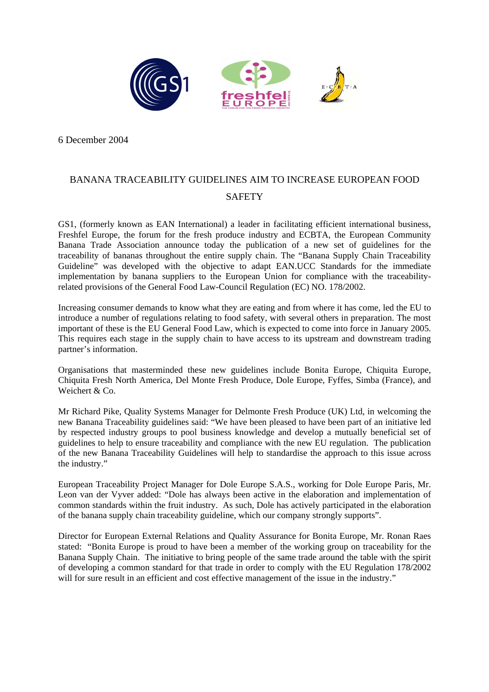

6 December 2004

## BANANA TRACEABILITY GUIDELINES AIM TO INCREASE EUROPEAN FOOD **SAFETY**

GS1, (formerly known as EAN International) a leader in facilitating efficient international business, Freshfel Europe, the forum for the fresh produce industry and ECBTA, the European Community Banana Trade Association announce today the publication of a new set of guidelines for the traceability of bananas throughout the entire supply chain. The "Banana Supply Chain Traceability Guideline" was developed with the objective to adapt EAN.UCC Standards for the immediate implementation by banana suppliers to the European Union for compliance with the traceabilityrelated provisions of the General Food Law-Council Regulation (EC) NO. 178/2002.

Increasing consumer demands to know what they are eating and from where it has come, led the EU to introduce a number of regulations relating to food safety, with several others in preparation. The most important of these is the EU General Food Law, which is expected to come into force in January 2005. This requires each stage in the supply chain to have access to its upstream and downstream trading partner's information.

Organisations that masterminded these new guidelines include Bonita Europe, Chiquita Europe, Chiquita Fresh North America, Del Monte Fresh Produce, Dole Europe, Fyffes, Simba (France), and Weichert & Co.

Mr Richard Pike, Quality Systems Manager for Delmonte Fresh Produce (UK) Ltd*,* in welcoming the new Banana Traceability guidelines said: "We have been pleased to have been part of an initiative led by respected industry groups to pool business knowledge and develop a mutually beneficial set of guidelines to help to ensure traceability and compliance with the new EU regulation. The publication of the new Banana Traceability Guidelines will help to standardise the approach to this issue across the industry."

European Traceability Project Manager for Dole Europe S.A.S., working for Dole Europe Paris, Mr. Leon van der Vyver added: "Dole has always been active in the elaboration and implementation of common standards within the fruit industry. As such, Dole has actively participated in the elaboration of the banana supply chain traceability guideline, which our company strongly supports".

Director for European External Relations and Quality Assurance for Bonita Europe, Mr. Ronan Raes stated: "Bonita Europe is proud to have been a member of the working group on traceability for the Banana Supply Chain. The initiative to bring people of the same trade around the table with the spirit of developing a common standard for that trade in order to comply with the EU Regulation 178/2002 will for sure result in an efficient and cost effective management of the issue in the industry."